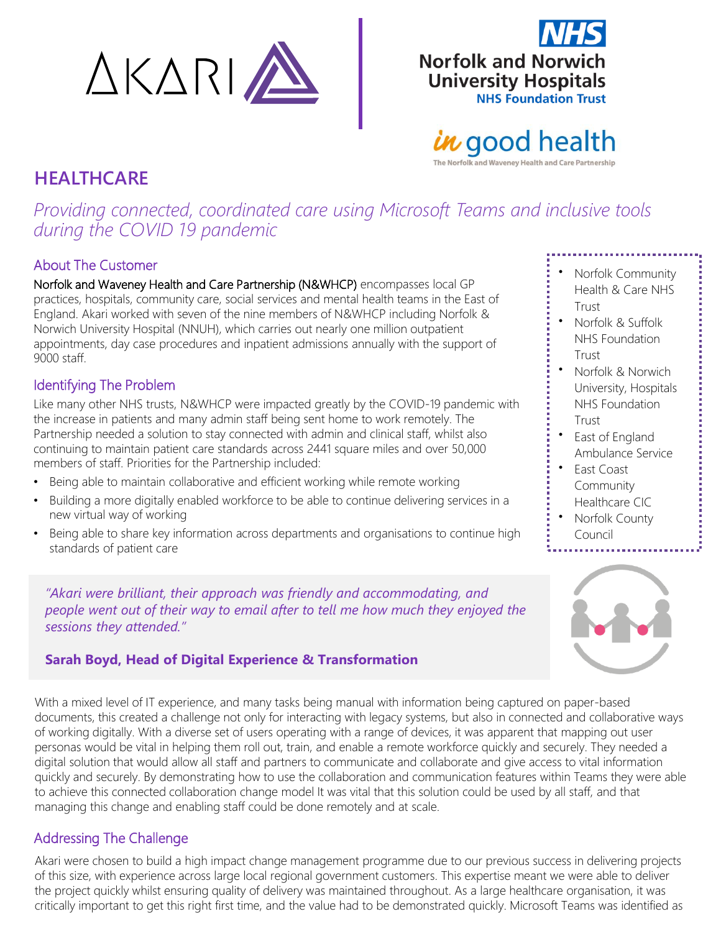



# in good health

The Norfolk and Waveney Health and Care Partnership

# **HEALTHCARE**

*Providing connected, coordinated care using Microsoft Teams and inclusive tools during the COVID 19 pandemic*

### About The Customer

Norfolk and Waveney Health and Care Partnership (N&WHCP) encompasses local GP practices, hospitals, community care, social services and mental health teams in the East of England. Akari worked with seven of the nine members of N&WHCP including Norfolk & Norwich University Hospital (NNUH), which carries out nearly one million outpatient appointments, day case procedures and inpatient admissions annually with the support of 9000 staff.

#### Identifying The Problem

Like many other NHS trusts, N&WHCP were impacted greatly by the COVID-19 pandemic with the increase in patients and many admin staff being sent home to work remotely. The Partnership needed a solution to stay connected with admin and clinical staff, whilst also continuing to maintain patient care standards across 2441 square miles and over 50,000 members of staff. Priorities for the Partnership included:

- Being able to maintain collaborative and efficient working while remote working
- Building a more digitally enabled workforce to be able to continue delivering services in a new virtual way of working
- Being able to share key information across departments and organisations to continue high standards of patient care

*"Akari were brilliant, their approach was friendly and accommodating, and people went out of their way to email after to tell me how much they enjoyed the sessions they attended."*

### **Sarah Boyd, Head of Digital Experience & Transformation**

With a mixed level of IT experience, and many tasks being manual with information being captured on paper-based documents, this created a challenge not only for interacting with legacy systems, but also in connected and collaborative ways of working digitally. With a diverse set of users operating with a range of devices, it was apparent that mapping out user personas would be vital in helping them roll out, train, and enable a remote workforce quickly and securely. They needed a digital solution that would allow all staff and partners to communicate and collaborate and give access to vital information quickly and securely. By demonstrating how to use the collaboration and communication features within Teams they were able to achieve this connected collaboration change model It was vital that this solution could be used by all staff, and that managing this change and enabling staff could be done remotely and at scale.

## Addressing The Challenge

Akari were chosen to build a high impact change management programme due to our previous success in delivering projects of this size, with experience across large local regional government customers. This expertise meant we were able to deliver the project quickly whilst ensuring quality of delivery was maintained throughout. As a large healthcare organisation, it was critically important to get this right first time, and the value had to be demonstrated quickly. Microsoft Teams was identified as

- Norfolk Community Health & Care NHS Trust
- Norfolk & Suffolk NHS Foundation Trust
- Norfolk & Norwich University, Hospitals NHS Foundation Trust
- East of England Ambulance Service
- East Coast Community Healthcare CIC
- Norfolk County Council